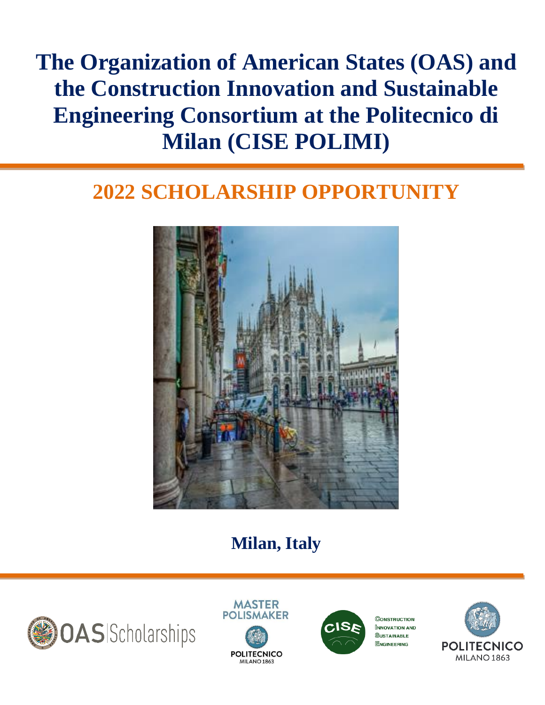# **The Organization of American States (OAS) and the Construction Innovation and Sustainable Engineering Consortium at the Politecnico di Milan (CISE POLIMI)**

# **2022 SCHOLARSHIP OPPORTUNITY**



## **Milan, Italy**







 $\mathbb C$ onstruction **INNOVATION AND SUSTAINABLE ENGINEERING** 

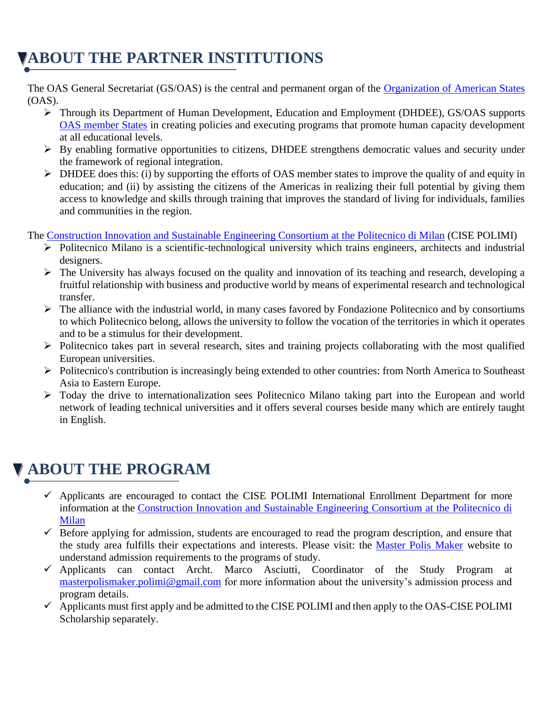## **ABOUT THE PARTNER INSTITUTIONS**

The OAS General Secretariat (GS/OAS) is the central and permanent organ of the [Organization of American States](http://www.oas.org/en/) (OAS).

- ➢ Through its Department of Human Development, Education and Employment (DHDEE), GS/OAS supports [OAS member States](http://www.oas.org/en/member_states/default.asp) in creating policies and executing programs that promote human capacity development at all educational levels.
- $\triangleright$  By enabling formative opportunities to citizens, DHDEE strengthens democratic values and security under the framework of regional integration.
- ➢ DHDEE does this: (i) by supporting the efforts of OAS member states to improve the quality of and equity in education; and (ii) by assisting the citizens of the Americas in realizing their full potential by giving them access to knowledge and skills through training that improves the standard of living for individuals, families and communities in the region.

The [Construction Innovation and Sustainable Engineering Consortium at the Politecnico di Milan](http://www.cise.polimi.it/) (CISE POLIMI)

- ➢ Politecnico Milano is a scientific-technological university which trains engineers, architects and industrial designers.
- ➢ The University has always focused on the quality and innovation of its teaching and research, developing a fruitful relationship with business and productive world by means of experimental research and technological transfer.
- $\triangleright$  The alliance with the industrial world, in many cases favored by Fondazione Politecnico and by consortiums to which Politecnico belong, allows the university to follow the vocation of the territories in which it operates and to be a stimulus for their development.
- ➢ Politecnico takes part in several research, sites and training projects collaborating with the most qualified European universities.
- ➢ Politecnico's contribution is increasingly being extended to other countries: from North America to Southeast Asia to Eastern Europe.
- ➢ Today the drive to internationalization sees Politecnico Milano taking part into the European and world network of leading technical universities and it offers several courses beside many which are entirely taught in English.

#### **ABOUT THE PROGRAM**

- $\checkmark$  Applicants are encouraged to contact the CISE POLIMI International Enrollment Department for more information at the [Construction Innovation and Sustainable Engineering Consortium at the Politecnico di](http://www.cise.polimi.it/)  [Milan](http://www.cise.polimi.it/)
- $\checkmark$  Before applying for admission, students are encouraged to read the program description, and ensure that the study area fulfills their expectations and interests. Please visit: the [Master Polis Maker](https://www.master.polismaker.org/) website to understand admission requirements to the programs of study.
- $\checkmark$  Applicants can contact Archt. Marco Asciutti, Coordinator of the Study Program at [masterpolismaker.polimi@gmail.com](mailto:masterpolismaker.polimi@gmail.com) for more information about the university's admission process and program details.
- ✓ Applicants must first apply and be admitted to the CISE POLIMI and then apply to the OAS-CISE POLIMI Scholarship separately.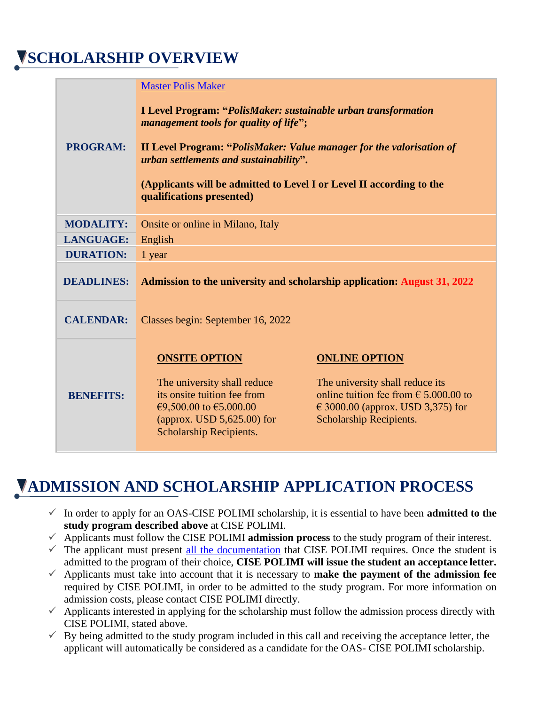#### **SCHOLARSHIP OVERVIEW**

|                   | <b>Master Polis Maker</b>                                                                                                  |                                                                                                                                |
|-------------------|----------------------------------------------------------------------------------------------------------------------------|--------------------------------------------------------------------------------------------------------------------------------|
|                   | <b>I Level Program: "PolisMaker: sustainable urban transformation</b><br>management tools for quality of life";            |                                                                                                                                |
| <b>PROGRAM:</b>   | <b>II Level Program: "PolisMaker: Value manager for the valorisation of</b><br>urban settlements and sustainability".      |                                                                                                                                |
|                   | (Applicants will be admitted to Level I or Level II according to the<br>qualifications presented)                          |                                                                                                                                |
| <b>MODALITY:</b>  | Onsite or online in Milano, Italy                                                                                          |                                                                                                                                |
| <b>LANGUAGE:</b>  | English                                                                                                                    |                                                                                                                                |
| <b>DURATION:</b>  | 1 year                                                                                                                     |                                                                                                                                |
| <b>DEADLINES:</b> | <b>Admission to the university and scholarship application: August 31, 2022</b>                                            |                                                                                                                                |
| <b>CALENDAR:</b>  | Classes begin: September 16, 2022                                                                                          |                                                                                                                                |
|                   | <b>ONSITE OPTION</b><br>The university shall reduce                                                                        | <b>ONLINE OPTION</b><br>The university shall reduce its                                                                        |
| <b>BENEFITS:</b>  | its onsite tuition fee from<br>€9,500.00 to $€5.000.00$<br>(approx. USD $5,625.00$ ) for<br><b>Scholarship Recipients.</b> | online tuition fee from $\epsilon$ 5.000.00 to<br>$\epsilon$ 3000.00 (approx. USD 3,375) for<br><b>Scholarship Recipients.</b> |

#### **ADMISSION AND SCHOLARSHIP APPLICATION PROCESS**

- $\checkmark$  In order to apply for an OAS-CISE POLIMI scholarship, it is essential to have been **admitted to the study program described above** at CISE POLIMI.
- ✓ Applicants must follow the CISE POLIMI **admission process** to the study program of their interest.
- $\checkmark$  The applicant must present [all the documentation](https://master.polismaker.org/en/admission.php) that CISE POLIMI requires. Once the student is admitted to the program of their choice, **CISE POLIMI will issue the student an acceptance letter.**
- $\checkmark$  Applicants must take into account that it is necessary to **make the payment of the admission fee** required by CISE POLIMI, in order to be admitted to the study program. For more information on admission costs, please contact CISE POLIMI directly.
- $\checkmark$  Applicants interested in applying for the scholarship must follow the admission process directly with CISE POLIMI, stated above.
- $\checkmark$  By being admitted to the study program included in this call and receiving the acceptance letter, the applicant will automatically be considered as a candidate for the OAS- CISE POLIMI scholarship.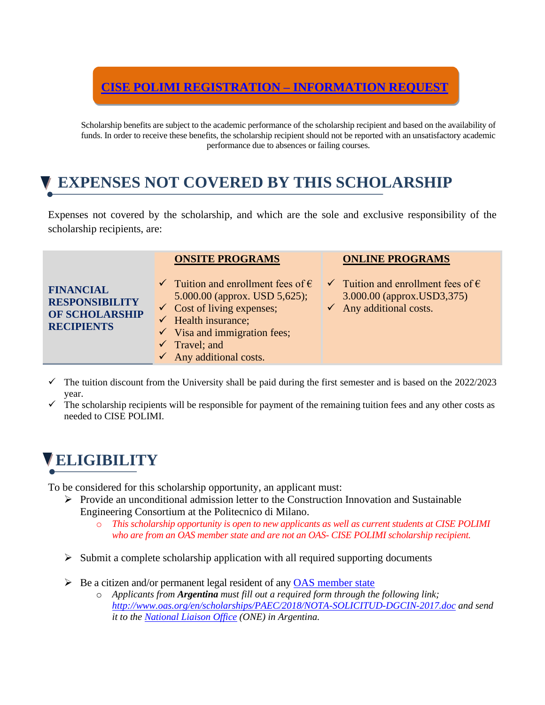#### **[CISE POLIMI REGISTRATION –](https://master.polismaker.org/en/contact.php) INFORMATION REQUEST**

Scholarship benefits are subject to the academic performance of the scholarship recipient and based on the availability of funds. In order to receive these benefits, the scholarship recipient should not be reported with an unsatisfactory academic performance due to absences or failing courses.

#### **EXPENSES NOT COVERED BY THIS SCHOLARSHIP**

Expenses not covered by the scholarship, and which are the sole and exclusive responsibility of the scholarship recipients, are:

| <b>FINANCIAL</b><br><b>RESPONSIBILITY</b><br>OF SCHOLARSHIP<br><b>RECIPIENTS</b> | <b>ONSITE PROGRAMS</b><br>$\checkmark$ Tuition and enrollment fees of $\hat{\epsilon}$<br>5.000.00 (approx. USD 5,625);<br>$\checkmark$ Cost of living expenses;<br>$\checkmark$ Health insurance;<br>$\checkmark$ Visa and immigration fees;<br>$\checkmark$ Travel; and<br>$\checkmark$ Any additional costs. | <b>ONLINE PROGRAMS</b><br>$\checkmark$ Tuition and enrollment fees of $\hat{\epsilon}$<br>3.000.00 (approx.USD3,375)<br>$\checkmark$ Any additional costs. |
|----------------------------------------------------------------------------------|-----------------------------------------------------------------------------------------------------------------------------------------------------------------------------------------------------------------------------------------------------------------------------------------------------------------|------------------------------------------------------------------------------------------------------------------------------------------------------------|
|                                                                                  |                                                                                                                                                                                                                                                                                                                 |                                                                                                                                                            |

- The tuition discount from the University shall be paid during the first semester and is based on the 2022/2023 year.
- The scholarship recipients will be responsible for payment of the remaining tuition fees and any other costs as needed to CISE POLIMI.

# **ELIGIBILITY**

To be considered for this scholarship opportunity, an applicant must:

- ➢ Provide an unconditional admission letter to the Construction Innovation and Sustainable Engineering Consortium at the Politecnico di Milano.
	- o *This scholarship opportunity is open to new applicants as well as current students at CISE POLIMI who are from an OAS member state and are not an OAS- CISE POLIMI scholarship recipient.*
- $\triangleright$  Submit a complete scholarship application with all required supporting documents
- $\triangleright$  Be a citizen and/or permanent legal resident of any [OAS member state](http://www.oas.org/en/member_states/default.asp)
	- o *Applicants from Argentina must fill out a required form through the following link; <http://www.oas.org/en/scholarships/PAEC/2018/NOTA-SOLICITUD-DGCIN-2017.doc> and send it to the [National Liaison Office](http://www.oas.org/en/scholarships/regularprogram/one.asp) (ONE) in Argentina.*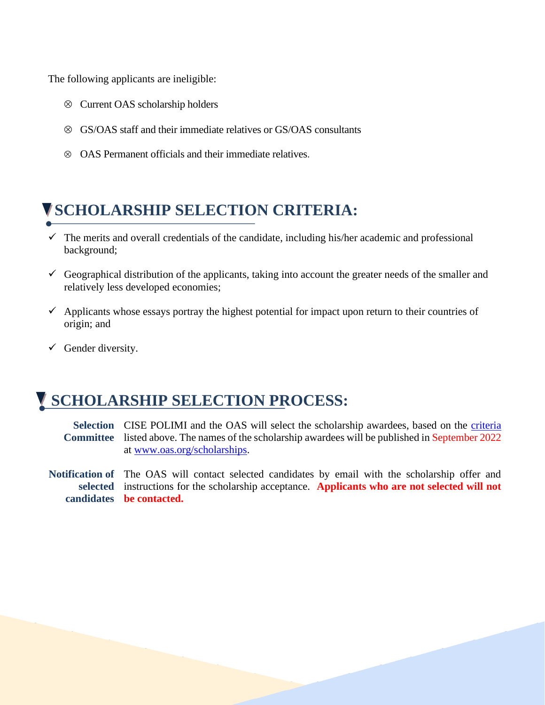The following applicants are ineligible:

- Current OAS scholarship holders
- GS/OAS staff and their immediate relatives or GS/OAS consultants
- $\otimes$  OAS Permanent officials and their immediate relatives.

#### **SCHOLARSHIP SELECTION CRITERIA:**

- $\checkmark$  The merits and overall credentials of the candidate, including his/her academic and professional background;
- $\checkmark$  Geographical distribution of the applicants, taking into account the greater needs of the smaller and relatively less developed economies;
- $\checkmark$  Applicants whose essays portray the highest potential for impact upon return to their countries of origin; and
- $\checkmark$  Gender diversity.

#### **SCHOLARSHIP SELECTION PROCESS:**

Selection CISE POLIMI and the OAS will select the scholarship awardees, based on the *criteria* **Committee** listed above. The names of the scholarship awardees will be published in September 2022 at [www.oas.org/scholarships.](http://www.oas.org/scholarships)

**Notification of**  The OAS will contact selected candidates by email with the scholarship offer and **selected**  instructions for the scholarship acceptance. **Applicants who are not selected will not candidates be contacted.**